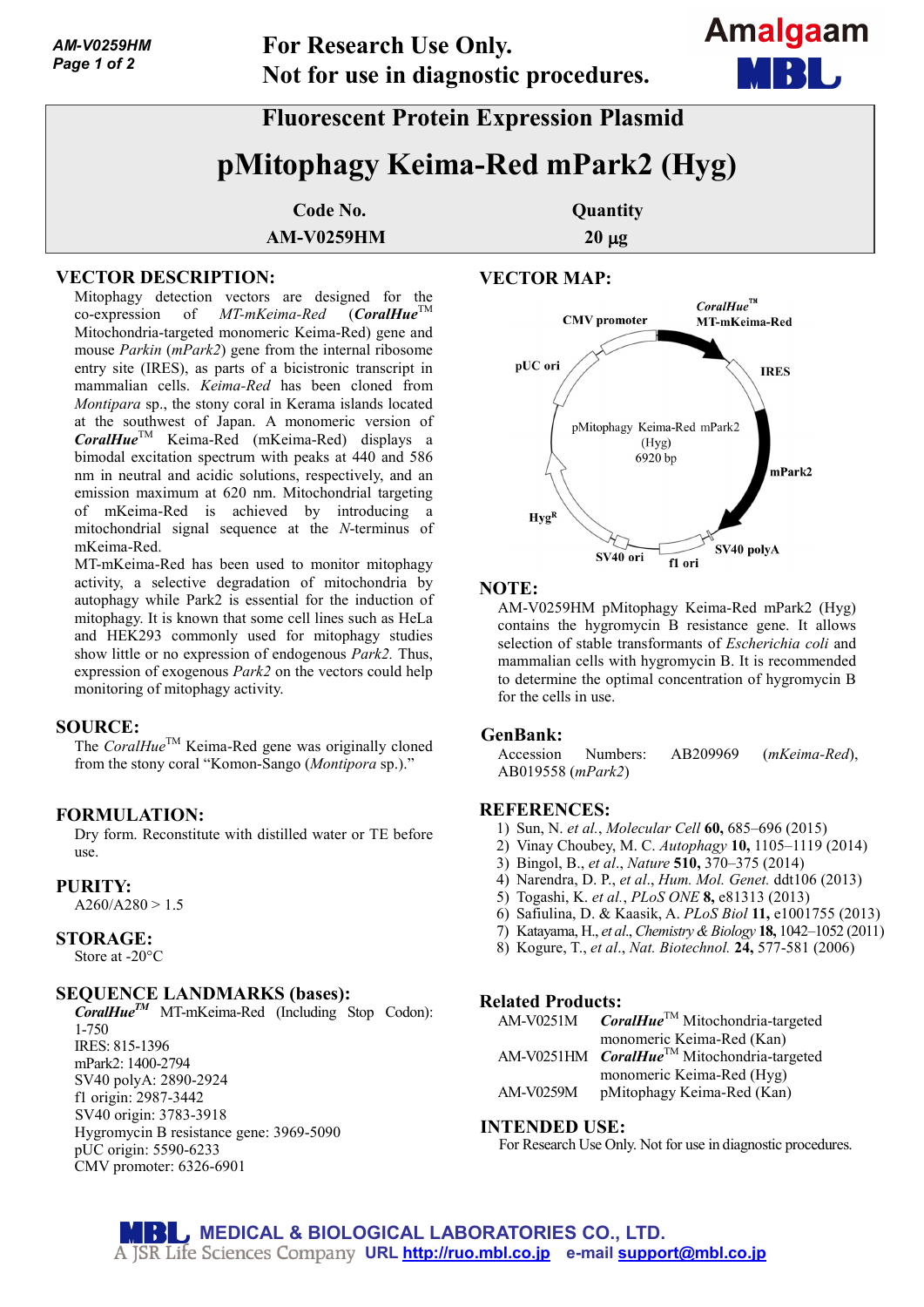# **Fluorescent Protein Expression Plasmid**

# **pMitophagy Keima-Red mPark2 (Hyg)**

**Code No. Quantity AM-V0259HM** 20 µg

### **VECTOR DESCRIPTION:**

Mitophagy detection vectors are designed for the co-expression of *MT-mKeima-Red* (*CoralHue*<sup>TM</sup> Mitochondria-targeted monomeric Keima-Red) gene and mouse *Parkin* (*mPark2*) gene from the internal ribosome entry site (IRES), as parts of a bicistronic transcript in mammalian cells. *Keima-Red* has been cloned from *Montipara* sp., the stony coral in Kerama islands located at the southwest of Japan. A monomeric version of *CoralHue*TM Keima-Red (mKeima-Red) displays a bimodal excitation spectrum with peaks at 440 and 586 nm in neutral and acidic solutions, respectively, and an emission maximum at 620 nm. Mitochondrial targeting of mKeima-Red is achieved by introducing a mitochondrial signal sequence at the *N*-terminus of mKeima-Red.

MT-mKeima-Red has been used to monitor mitophagy activity, a selective degradation of mitochondria by autophagy while Park2 is essential for the induction of mitophagy. It is known that some cell lines such as HeLa and HEK293 commonly used for mitophagy studies show little or no expression of endogenous *Park2.* Thus, expression of exogenous *Park2* on the vectors could help monitoring of mitophagy activity.

#### **SOURCE:**

The *CoralHue*<sup>TM</sup> Keima-Red gene was originally cloned from the stony coral "Komon-Sango (*Montipora* sp.)."

#### **FORMULATION:**

Dry form. Reconstitute with distilled water or TE before use.

#### **PURITY:**

 $A260/A280 > 1.5$ 

#### **STORAGE:**

Store at -20°C

#### **SEQUENCE LANDMARKS (bases):**

*CoralHueTM* MT-mKeima-Red (Including Stop Codon): 1-750 IRES: 815-1396 mPark2: 1400-2794 SV40 polyA: 2890-2924 f1 origin: 2987-3442 SV40 origin: 3783-3918 Hygromycin B resistance gene: 3969-5090 pUC origin: 5590-6233 CMV promoter: 6326-6901

#### **VECTOR MAP:**



**Amalgaam** 

#### **NOTE:**

AM-V0259HM pMitophagy Keima-Red mPark2 (Hyg) contains the hygromycin B resistance gene. It allows selection of stable transformants of *Escherichia coli* and mammalian cells with hygromycin B. It is recommended to determine the optimal concentration of hygromycin B for the cells in use.

#### **GenBank:**

Accession Numbers: AB209969 (*mKeima-Red*), AB019558 (*mPark2*)

#### **REFERENCES:**

- 1) Sun, N. *et al.*, *Molecular Cell* **60,** 685–696 (2015)
- 2) Vinay Choubey, M. C. *Autophagy* **10,** 1105–1119 (2014)
- 3) Bingol, B., *et al*., *Nature* **510,** 370–375 (2014)
- 4) Narendra, D. P., *et al*., *Hum. Mol. Genet.* ddt106 (2013)
- 5) Togashi, K. *et al.*, *PLoS ONE* **8,** e81313 (2013)
- 6) Safiulina, D. & Kaasik, A. *PLoS Biol* **11,** e1001755 (2013)
- 7) Katayama, H., *et al*., *Chemistry & Biology* **18,** 1042–1052 (2011)
- 8) Kogure, T., *et al*., *Nat. Biotechnol.* **24,** 577-581 (2006)

#### **Related Products:**

| AM-V0251M | $\textit{CorallHue}^{\text{TM}}$ Mitochondria-targeted         |
|-----------|----------------------------------------------------------------|
|           | monomeric Keima-Red (Kan)                                      |
|           | AM-V0251HM <i>CoralHue</i> <sup>TM</sup> Mitochondria-targeted |
|           | monomeric Keima-Red (Hyg)                                      |
| AM-V0259M | pMitophagy Keima-Red (Kan)                                     |

#### **INTENDED USE:**

For Research Use Only. Not for use in diagnostic procedures.